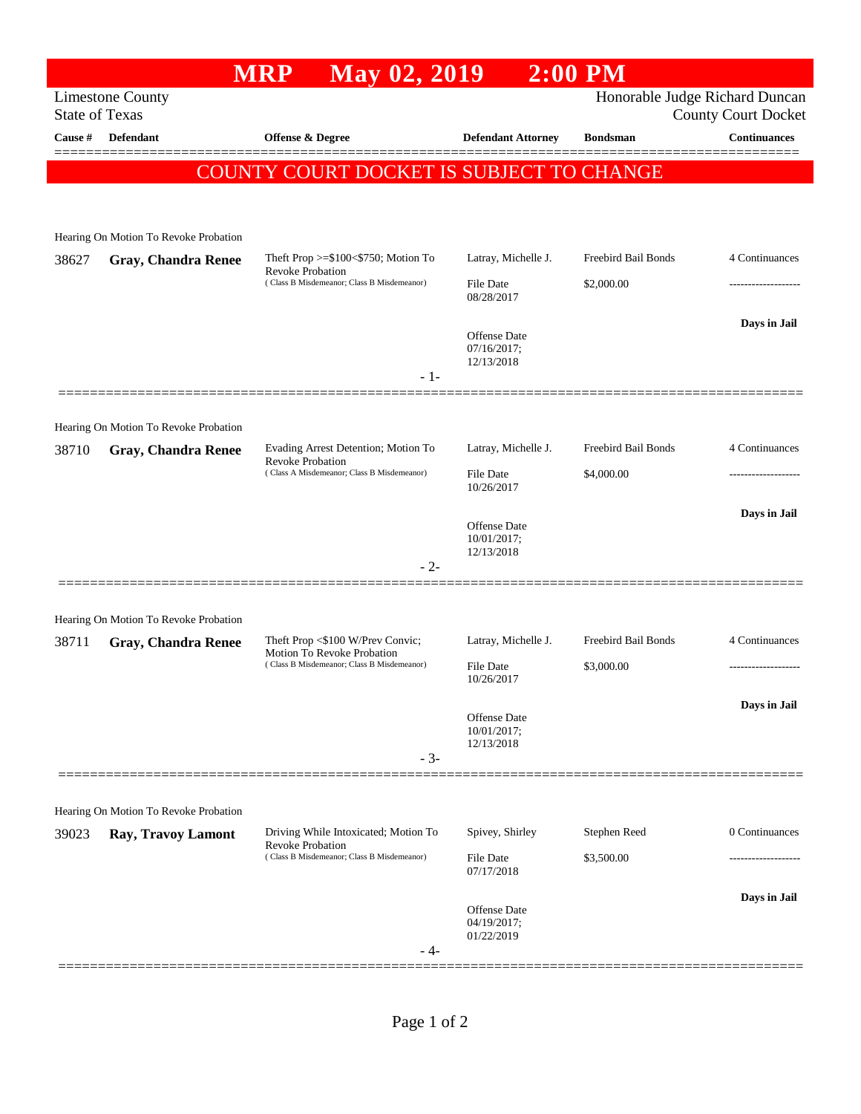|                                          |                                       | May 02, 2019<br><b>MRP</b>                                                                                    |                                                  | $2:00$ PM                  |                                                              |  |  |  |  |
|------------------------------------------|---------------------------------------|---------------------------------------------------------------------------------------------------------------|--------------------------------------------------|----------------------------|--------------------------------------------------------------|--|--|--|--|
| <b>State of Texas</b>                    | <b>Limestone County</b>               |                                                                                                               |                                                  |                            | Honorable Judge Richard Duncan<br><b>County Court Docket</b> |  |  |  |  |
| Cause #                                  | Defendant                             | Offense & Degree                                                                                              | <b>Defendant Attorney</b>                        | <b>Bondsman</b>            | <b>Continuances</b>                                          |  |  |  |  |
| COUNTY COURT DOCKET IS SUBJECT TO CHANGE |                                       |                                                                                                               |                                                  |                            |                                                              |  |  |  |  |
|                                          |                                       |                                                                                                               |                                                  |                            |                                                              |  |  |  |  |
|                                          | Hearing On Motion To Revoke Probation |                                                                                                               |                                                  |                            |                                                              |  |  |  |  |
| 38627                                    | <b>Gray, Chandra Renee</b>            | Theft Prop $>=\$100<\$750$ ; Motion To                                                                        | Latray, Michelle J.                              | Freebird Bail Bonds        | 4 Continuances                                               |  |  |  |  |
|                                          |                                       | <b>Revoke Probation</b><br>(Class B Misdemeanor; Class B Misdemeanor)                                         | File Date<br>08/28/2017                          | \$2,000.00                 |                                                              |  |  |  |  |
|                                          |                                       |                                                                                                               | <b>Offense</b> Date                              |                            | Days in Jail                                                 |  |  |  |  |
|                                          |                                       |                                                                                                               | 07/16/2017;<br>12/13/2018                        |                            |                                                              |  |  |  |  |
|                                          |                                       | $-1-$                                                                                                         |                                                  |                            |                                                              |  |  |  |  |
|                                          | Hearing On Motion To Revoke Probation |                                                                                                               |                                                  |                            |                                                              |  |  |  |  |
| 38710                                    | <b>Gray, Chandra Renee</b>            | Evading Arrest Detention; Motion To<br><b>Revoke Probation</b>                                                | Latray, Michelle J.                              | Freebird Bail Bonds        | 4 Continuances                                               |  |  |  |  |
|                                          |                                       | (Class A Misdemeanor; Class B Misdemeanor)                                                                    | File Date<br>10/26/2017                          | \$4,000.00                 | .                                                            |  |  |  |  |
|                                          |                                       |                                                                                                               |                                                  |                            | Days in Jail                                                 |  |  |  |  |
|                                          |                                       |                                                                                                               | Offense Date<br>10/01/2017;                      |                            |                                                              |  |  |  |  |
|                                          |                                       | $-2-$                                                                                                         | 12/13/2018                                       |                            |                                                              |  |  |  |  |
|                                          | Hearing On Motion To Revoke Probation |                                                                                                               |                                                  |                            |                                                              |  |  |  |  |
| 38711                                    | Gray, Chandra Renee                   | Theft Prop <\$100 W/Prev Convic;<br>Motion To Revoke Probation<br>(Class B Misdemeanor; Class B Misdemeanor)  | Latray, Michelle J.                              | Freebird Bail Bonds        | 4 Continuances                                               |  |  |  |  |
|                                          |                                       |                                                                                                               | File Date<br>10/26/2017                          | \$3,000.00                 |                                                              |  |  |  |  |
|                                          |                                       |                                                                                                               |                                                  |                            | Days in Jail                                                 |  |  |  |  |
|                                          |                                       |                                                                                                               | <b>Offense Date</b><br>10/01/2017;<br>12/13/2018 |                            |                                                              |  |  |  |  |
|                                          |                                       | $-3-$                                                                                                         |                                                  |                            |                                                              |  |  |  |  |
|                                          |                                       |                                                                                                               |                                                  |                            |                                                              |  |  |  |  |
|                                          | Hearing On Motion To Revoke Probation |                                                                                                               |                                                  |                            |                                                              |  |  |  |  |
| 39023                                    | Ray, Travoy Lamont                    | Driving While Intoxicated; Motion To<br><b>Revoke Probation</b><br>(Class B Misdemeanor; Class B Misdemeanor) | Spivey, Shirley<br>File Date                     | Stephen Reed<br>\$3,500.00 | 0 Continuances                                               |  |  |  |  |
|                                          |                                       |                                                                                                               | 07/17/2018                                       |                            |                                                              |  |  |  |  |
|                                          |                                       |                                                                                                               | <b>Offense Date</b>                              |                            | Days in Jail                                                 |  |  |  |  |
|                                          |                                       |                                                                                                               | 04/19/2017;<br>01/22/2019                        |                            |                                                              |  |  |  |  |
|                                          |                                       | - 4-                                                                                                          |                                                  |                            |                                                              |  |  |  |  |